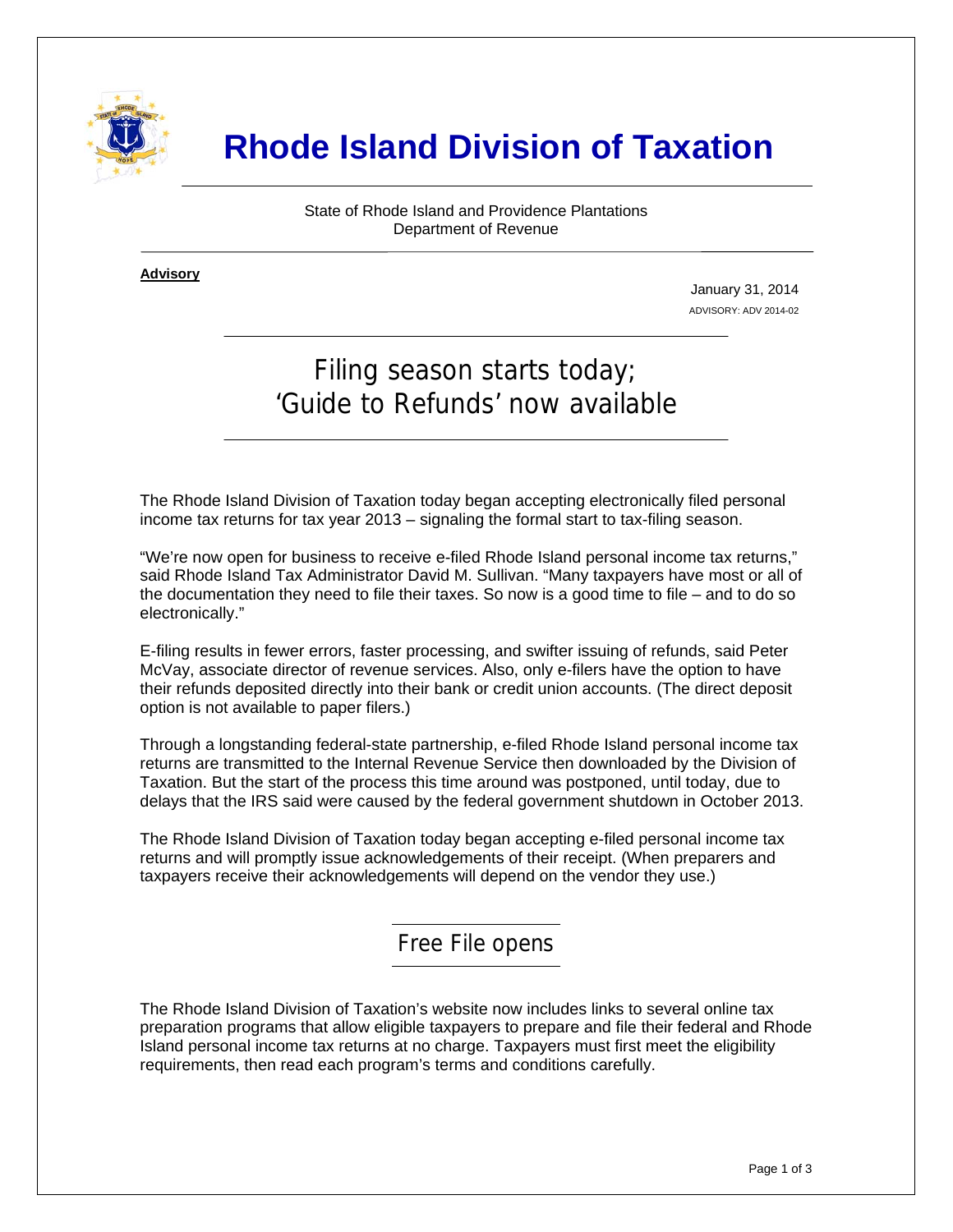

# **Rhode Island Division of Taxation**

State of Rhode Island and Providence Plantations Department of Revenue

**Advisory** ٦

i

January 31, 2014 ADVISORY: ADV 2014-02

## Filing season starts today; 'Guide to Refunds' now available

The Rhode Island Division of Taxation today began accepting electronically filed personal income tax returns for tax year 2013 – signaling the formal start to tax-filing season.

"We're now open for business to receive e-filed Rhode Island personal income tax returns," said Rhode Island Tax Administrator David M. Sullivan. "Many taxpayers have most or all of the documentation they need to file their taxes. So now is a good time to file – and to do so electronically."

E-filing results in fewer errors, faster processing, and swifter issuing of refunds, said Peter McVay, associate director of revenue services. Also, only e-filers have the option to have their refunds deposited directly into their bank or credit union accounts. (The direct deposit option is not available to paper filers.)

Through a longstanding federal-state partnership, e-filed Rhode Island personal income tax returns are transmitted to the Internal Revenue Service then downloaded by the Division of Taxation. But the start of the process this time around was postponed, until today, due to delays that the IRS said were caused by the federal government shutdown in October 2013.

The Rhode Island Division of Taxation today began accepting e-filed personal income tax returns and will promptly issue acknowledgements of their receipt. (When preparers and taxpayers receive their acknowledgements will depend on the vendor they use.)

Free File opens

The Rhode Island Division of Taxation's website now includes links to several online tax preparation programs that allow eligible taxpayers to prepare and file their federal and Rhode Island personal income tax returns at no charge. Taxpayers must first meet the eligibility requirements, then read each program's terms and conditions carefully.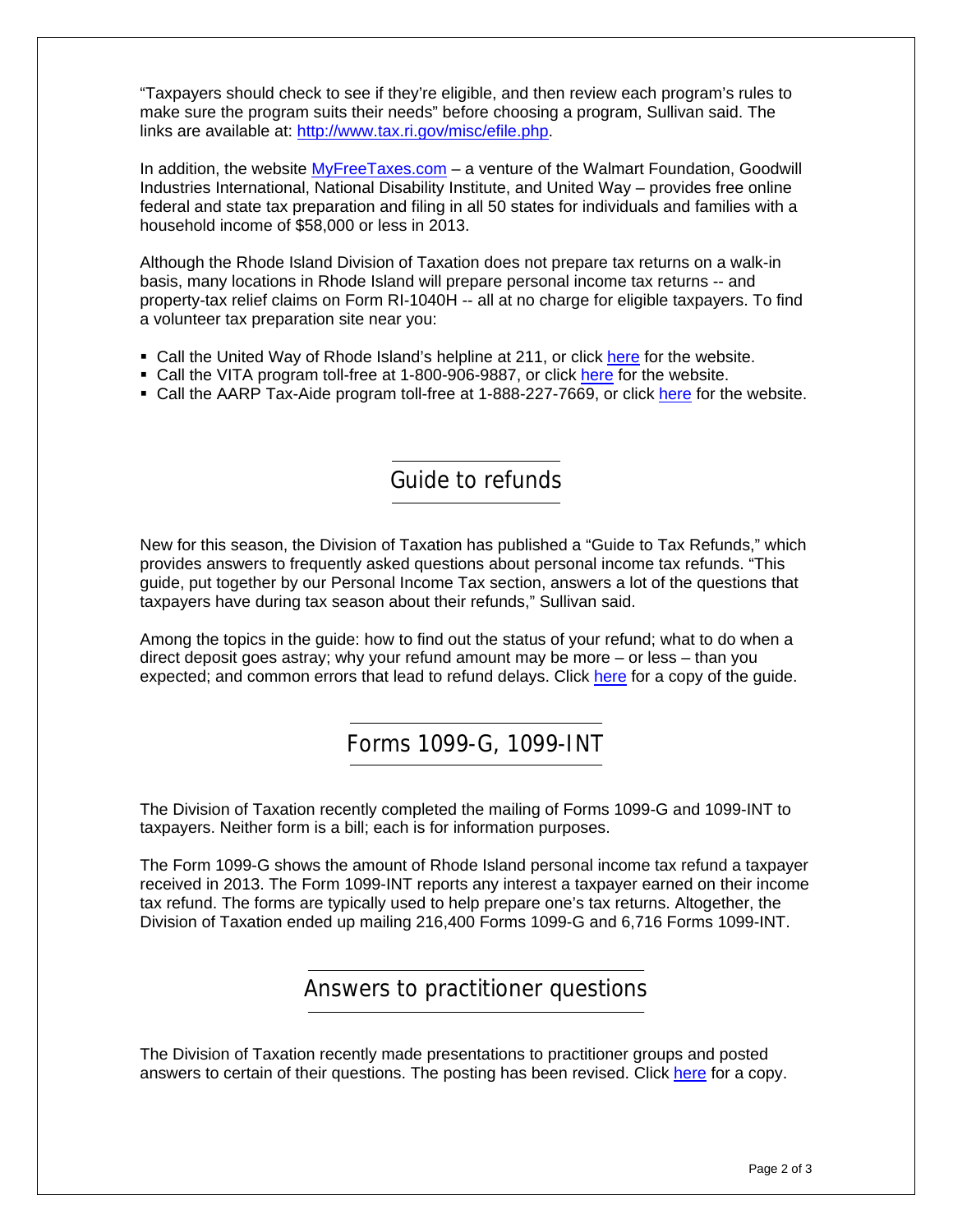"Taxpayers should check to see if they're eligible, and then review each program's rules to make sure the program suits their needs" before choosing a program, Sullivan said. The links are available at: [http://www.tax.ri.gov/misc/efile.php.](http://www.tax.ri.gov/misc/efile.php)

In addition, the website **MyFreeTaxes.com** – a venture of the Walmart Foundation, Goodwill Industries International, National Disability Institute, and United Way – provides free online federal and state tax preparation and filing in all 50 states for individuals and families with a household income of \$58,000 or less in 2013.

Although the Rhode Island Division of Taxation does not prepare tax returns on a walk-in basis, many locations in Rhode Island will prepare personal income tax returns -- and property-tax relief claims on Form RI-1040H -- all at no charge for eligible taxpayers. To find a volunteer tax preparation site near you:

- **Call the United Way of Rhode Island's helpline at 211, or click [here](http://www.211ri.org/) for the website.**
- Call the VITA program toll-free at 1-800-906-9887, or click [here](http://www.irs.gov/Individuals/Free-Tax-Return-Preparation-for-You-by-Volunteers) for the website.
- Call the AARP Tax-Aide program toll-free at 1-888-227-7669, or click [here](http://www.aarp.org/applications/VMISLocator/taxAideLocations.action;jsessionid=EBCB18E536011D3FA627D058794A7402) for the website.

### Guide to refunds

New for this season, the Division of Taxation has published a "Guide to Tax Refunds," which provides answers to frequently asked questions about personal income tax refunds. "This guide, put together by our Personal Income Tax section, answers a lot of the questions that taxpayers have during tax season about their refunds," Sullivan said.

Among the topics in the guide: how to find out the status of your refund; what to do when a direct deposit goes astray; why your refund amount may be more – or less – than you expected; and common errors that lead to refund delays. Click [here](http://www.tax.ri.gov/Tax%20Website/TAX/notice/Guide%20to%20Tax%20Refunds.pdf) for a copy of the quide.

### Forms 1099-G, 1099-INT

The Division of Taxation recently completed the mailing of Forms 1099-G and 1099-INT to taxpayers. Neither form is a bill; each is for information purposes.

The Form 1099-G shows the amount of Rhode Island personal income tax refund a taxpayer received in 2013. The Form 1099-INT reports any interest a taxpayer earned on their income tax refund. The forms are typically used to help prepare one's tax returns. Altogether, the Division of Taxation ended up mailing 216,400 Forms 1099-G and 6,716 Forms 1099-INT.

#### Answers to practitioner questions

The Division of Taxation recently made presentations to practitioner groups and posted answers to certain of their questions. The posting has been revised. Click [here](http://www.tax.ri.gov/Tax%20Website/TAX/notice/Responses%20to%20Practitioner%20Questions%2012-31-13.pdf) for a copy.